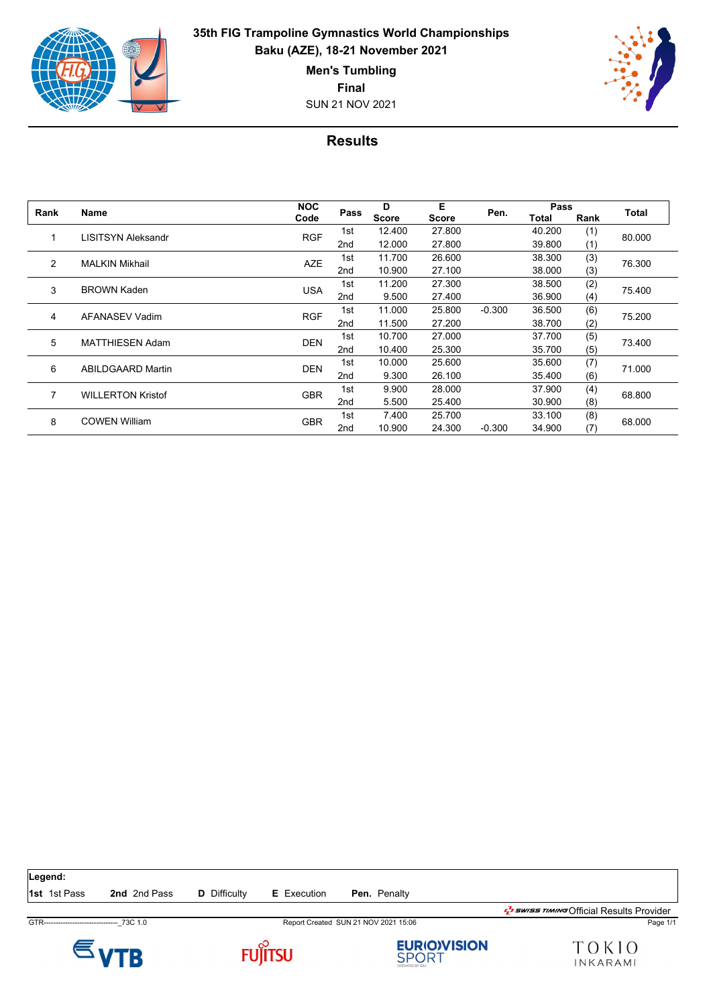

**Final**

SUN 21 NOV 2021



## **Results**

| Rank | <b>Name</b>              | <b>NOC</b><br>Code | Pass            | D<br><b>Score</b> | Е<br><b>Score</b> | Pen.     | Pass   |      |        |
|------|--------------------------|--------------------|-----------------|-------------------|-------------------|----------|--------|------|--------|
|      |                          |                    |                 |                   |                   |          | Total  | Rank | Total  |
|      | LISITSYN Aleksandr       | <b>RGF</b>         | 1st             | 12.400            | 27.800            |          | 40.200 | (1)  | 80.000 |
|      |                          |                    | 2nd             | 12.000            | 27.800            |          | 39.800 | (1)  |        |
| 2    | <b>MALKIN Mikhail</b>    | <b>AZE</b>         | 1st             | 11.700            | 26.600            |          | 38.300 | (3)  | 76.300 |
|      |                          |                    | 2 <sub>nd</sub> | 10.900            | 27.100            |          | 38.000 | (3)  |        |
| 3    | <b>BROWN Kaden</b>       | <b>USA</b>         | 1st             | 11.200            | 27.300            |          | 38.500 | (2)  | 75.400 |
|      |                          |                    | 2nd             | 9.500             | 27.400            |          | 36.900 | (4)  |        |
| 4    | AFANASEV Vadim           | <b>RGF</b>         | 1st             | 11.000            | 25.800            | $-0.300$ | 36.500 | (6)  | 75.200 |
|      |                          |                    | 2 <sub>nd</sub> | 11.500            | 27.200            |          | 38.700 | (2)  |        |
| 5    | <b>MATTHIESEN Adam</b>   | <b>DEN</b>         | 1st             | 10.700            | 27.000            |          | 37.700 | (5)  | 73.400 |
|      |                          |                    | 2 <sub>nd</sub> | 10.400            | 25.300            |          | 35.700 | (5)  |        |
| 6    | <b>ABILDGAARD Martin</b> | <b>DEN</b>         | 1st             | 10.000            | 25.600            |          | 35.600 | (7)  | 71.000 |
|      |                          |                    | 2 <sub>nd</sub> | 9.300             | 26.100            |          | 35.400 | (6)  |        |
| 7    | <b>WILLERTON Kristof</b> | <b>GBR</b>         | 1st             | 9.900             | 28,000            |          | 37.900 | (4)  | 68.800 |
|      |                          |                    | 2nd             | 5.500             | 25.400            |          | 30.900 | (8)  |        |
| 8    | <b>COWEN William</b>     | <b>GBR</b>         | 1st             | 7.400             | 25.700            |          | 33.100 | (8)  | 68.000 |
|      |                          |                    | 2 <sub>nd</sub> | 10.900            | 24.300            | $-0.300$ | 34.900 | (7)  |        |









TOKIO INKARAMI